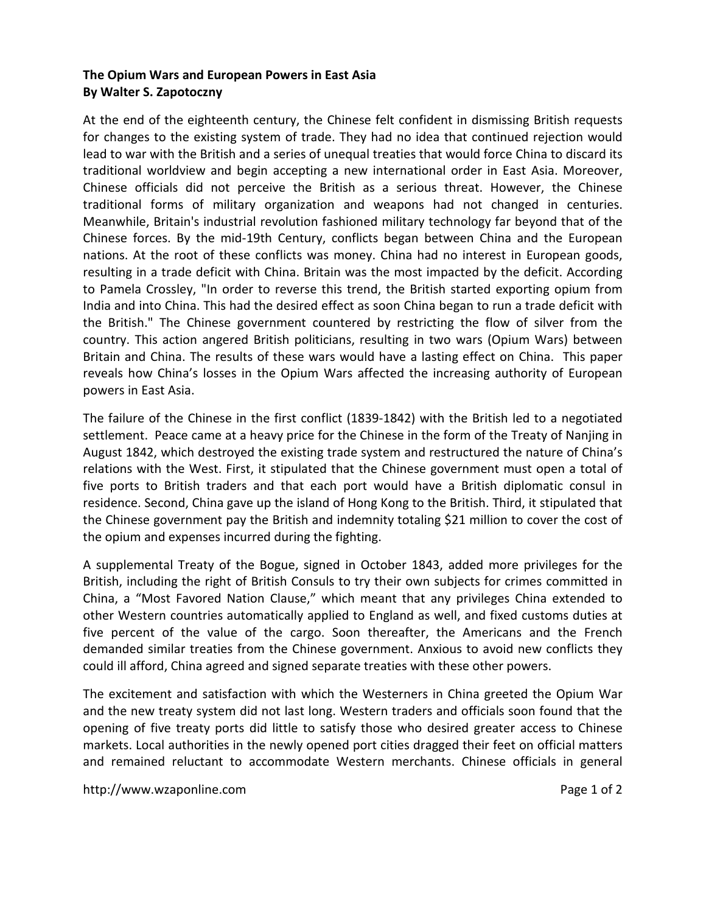## **The Opium Wars and European Powers in East Asia By Walter S. Zapotoczny**

At the end of the eighteenth century, the Chinese felt confident in dismissing British requests for changes to the existing system of trade. They had no idea that continued rejection would lead to war with the British and a series of unequal treaties that would force China to discard its traditional worldview and begin accepting a new international order in East Asia. Moreover, Chinese officials did not perceive the British as a serious threat. However, the Chinese traditional forms of military organization and weapons had not changed in centuries. Meanwhile, Britain's industrial revolution fashioned military technology far beyond that of the Chinese forces. By the mid-19th Century, conflicts began between China and the European nations. At the root of these conflicts was money. China had no interest in European goods, resulting in a trade deficit with China. Britain was the most impacted by the deficit. According to Pamela Crossley, "In order to reverse this trend, the British started exporting opium from India and into China. This had the desired effect as soon China began to run a trade deficit with the British." The Chinese government countered by restricting the flow of silver from the country. This action angered British politicians, resulting in two wars (Opium Wars) between Britain and China. The results of these wars would have a lasting effect on China. This paper reveals how China's losses in the Opium Wars affected the increasing authority of European powers in East Asia.

The failure of the Chinese in the first conflict (1839-1842) with the British led to a negotiated settlement. Peace came at a heavy price for the Chinese in the form of the Treaty of Nanjing in August 1842, which destroyed the existing trade system and restructured the nature of China's relations with the West. First, it stipulated that the Chinese government must open a total of five ports to British traders and that each port would have a British diplomatic consul in residence. Second, China gave up the island of Hong Kong to the British. Third, it stipulated that the Chinese government pay the British and indemnity totaling \$21 million to cover the cost of the opium and expenses incurred during the fighting.

A supplemental Treaty of the Bogue, signed in October 1843, added more privileges for the British, including the right of British Consuls to try their own subjects for crimes committed in China, a "Most Favored Nation Clause," which meant that any privileges China extended to other Western countries automatically applied to England as well, and fixed customs duties at five percent of the value of the cargo. Soon thereafter, the Americans and the French demanded similar treaties from the Chinese government. Anxious to avoid new conflicts they could ill afford, China agreed and signed separate treaties with these other powers.

The excitement and satisfaction with which the Westerners in China greeted the Opium War and the new treaty system did not last long. Western traders and officials soon found that the opening of five treaty ports did little to satisfy those who desired greater access to Chinese markets. Local authorities in the newly opened port cities dragged their feet on official matters and remained reluctant to accommodate Western merchants. Chinese officials in general

http://www.wzaponline.com Page 1 of 2